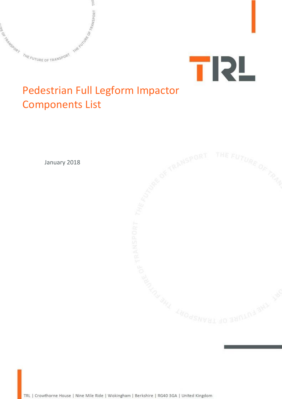



## Pedestrian Full Legform Impactor Components List



TRL | Crowthorne House | Nine Mile Ride | Wokingham | Berkshire | RG40 3GA | United Kingdom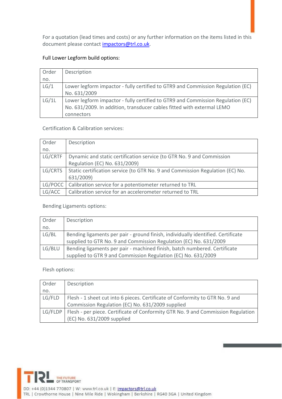For a quotation (lead times and costs) or any further information on the items listed in this document please contact [impactors@trl.co.uk.](mailto:impactors@trl.co.uk)

## Full Lower Legform build options:

| Order | Description                                                                                                                                                             |
|-------|-------------------------------------------------------------------------------------------------------------------------------------------------------------------------|
| no.   |                                                                                                                                                                         |
| LG/1  | Lower legform impactor - fully certified to GTR9 and Commission Regulation (EC)                                                                                         |
|       | No. 631/2009                                                                                                                                                            |
| LG/1L | Lower legform impactor - fully certified to GTR9 and Commission Regulation (EC)<br>No. 631/2009. In addition, transducer cables fitted with extermal LEMO<br>connectors |

Certification & Calibration services:

| Order   | Description                                                                   |
|---------|-------------------------------------------------------------------------------|
| no.     |                                                                               |
| LG/CRTF | Dynamic and static certification service (to GTR No. 9 and Commission         |
|         | Regulation (EC) No. 631/2009)                                                 |
| LG/CRTS | Static certification service (to GTR No. 9 and Commission Regulation (EC) No. |
|         | 631/2009)                                                                     |
| LG/POCC | Calibration service for a potentiometer returned to TRL                       |
| LG/ACC  | Calibration service for an accelerometer returned to TRL                      |

Bending Ligaments options:

| Order  | Description                                                                      |
|--------|----------------------------------------------------------------------------------|
| no.    |                                                                                  |
| LG/BL  | Bending ligaments per pair - ground finish, individually identified. Certificate |
|        | supplied to GTR No. 9 and Commission Regulation (EC) No. 631/2009                |
| LG/BLU | Bending ligaments per pair - machined finish, batch numbered. Certificate        |
|        | supplied to GTR 9 and Commission Regulation (EC) No. 631/2009                    |

Flesh options:

| Order  | Description                                                                                |
|--------|--------------------------------------------------------------------------------------------|
| no.    |                                                                                            |
| LG/FLD | Flesh - 1 sheet cut into 6 pieces. Certificate of Conformity to GTR No. 9 and              |
|        | Commission Regulation (EC) No. 631/2009 supplied                                           |
|        | LG/FLDP   Flesh - per piece. Certificate of Conformity GTR No. 9 and Commission Regulation |
|        | (EC) No. 631/2009 supplied                                                                 |